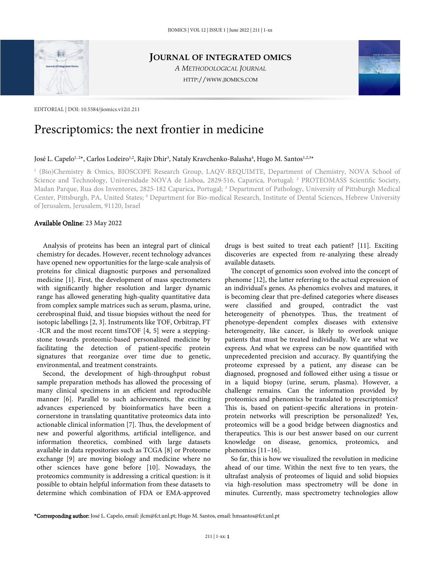

**JOURNAL OF INTEGRATED OMICS**

*A METHODOLOGICAL JOURNAL* HTTP://WWW.JIOMICS.COM



# Prescriptomics: the next frontier in medicine

#### José L. Capelo<sup>1, 2\*</sup>, Carlos Lodeiro<sup>1,2</sup>, Rajiv Dhir<sup>3</sup>, Nataly Kravchenko-Balasha<sup>4</sup>, Hugo M. Santos<sup>1,2,3</sup>\*

1 (Bio)Chemistry & Omics, BIOSCOPE Research Group, LAQV-REQUIMTE, Department of Chemistry, NOVA School of Science and Technology, Universidade NOVA de Lisboa, 2829-516, Caparica, Portugal; <sup>2</sup> PROTEOMASS Scientific Society, Madan Parque, Rua dos Inventores, 2825-182 Caparica, Portugal; <sup>3</sup> Department of Pathology, University of Pittsburgh Medical Center, Pittsburgh, PA, United States; <sup>4</sup> Department for Bio-medical Research, Institute of Dental Sciences, Hebrew University of Jerusalem, Jerusalem, 91120, Israel

### Available Online: 23 May 2022

Analysis of proteins has been an integral part of clinical chemistry for decades. However, recent technology advances have opened new opportunities for the large-scale analysis of proteins for clinical diagnostic purposes and personalized medicine [1]. First, the development of mass spectrometers with significantly higher resolution and larger dynamic range has allowed generating high-quality quantitative data from complex sample matrices such as serum, plasma, urine, cerebrospinal fluid, and tissue biopsies without the need for isotopic labellings [2, 3]. Instruments like TOF, Orbitrap, FT -ICR and the most recent timsTOF [4, 5] were a steppingstone towards proteomic-based personalized medicine by facilitating the detection of patient-specific protein signatures that reorganize over time due to genetic, environmental, and treatment constraints.

Second, the development of high-throughput robust sample preparation methods has allowed the processing of many clinical specimens in an efficient and reproducible manner [6]. Parallel to such achievements, the exciting advances experienced by bioinformatics have been a cornerstone in translating quantitative proteomics data into actionable clinical information [7]. Thus, the development of new and powerful algorithms, artificial intelligence, and information theoretics, combined with large datasets available in data repositories such as TCGA [8] or Proteome exchange [9] are moving biology and medicine where no other sciences have gone before [10]. Nowadays, the proteomics community is addressing a critical question: is it possible to obtain helpful information from these datasets to determine which combination of FDA or EMA-approved

drugs is best suited to treat each patient? [11]. Exciting discoveries are expected from re-analyzing these already available datasets.

The concept of genomics soon evolved into the concept of phenome [12], the latter referring to the actual expression of an individual's genes. As phenomics evolves and matures, it is becoming clear that pre-defined categories where diseases were classified and grouped, contradict the vast heterogeneity of phenotypes. Thus, the treatment of phenotype-dependent complex diseases with extensive heterogeneity, like cancer, is likely to overlook unique patients that must be treated individually. We are what we express. And what we express can be now quantified with unprecedented precision and accuracy. By quantifying the proteome expressed by a patient, any disease can be diagnosed, prognosed and followed either using a tissue or in a liquid biopsy (urine, serum, plasma). However, a challenge remains. Can the information provided by proteomics and phenomics be translated to prescriptomics? This is, based on patient-specific alterations in proteinprotein networks will prescription be personalized? Yes, proteomics will be a good bridge between diagnostics and therapeutics. This is our best answer based on our current knowledge on disease, genomics, proteomics, and phenomics [11–16].

So far, this is how we visualized the revolution in medicine ahead of our time. Within the next five to ten years, the ultrafast analysis of proteomes of liquid and solid biopsies via high-resolution mass spectrometry will be done in minutes. Currently, mass spectrometry technologies allow